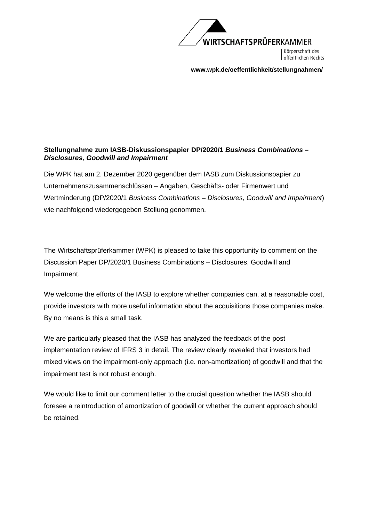

Körperschaft des öffentlichen Rechts

**[www.wpk.de/oeffentlichkeit/stellungnahmen/](http://www.wpk.de/oeffentlichkeit/stellungnahmen/)** 

## **Stellungnahme zum IASB-Diskussionspapier DP/2020/1** *Business Combinations – Disclosures, Goodwill and Impairment*

Die WPK hat am 2. Dezember 2020 gegenüber dem IASB zum Diskussionspapier zu Unternehmenszusammenschlüssen – Angaben, Geschäfts- oder Firmenwert und Wertminderung (DP/2020/1 *Business Combinations – Disclosures, Goodwill and Impairment*) wie nachfolgend wiedergegeben Stellung genommen.

The Wirtschaftsprüferkammer (WPK) is pleased to take this opportunity to comment on the Discussion Paper DP/2020/1 Business Combinations – Disclosures, Goodwill and Impairment.

We welcome the efforts of the IASB to explore whether companies can, at a reasonable cost, provide investors with more useful information about the acquisitions those companies make. By no means is this a small task.

We are particularly pleased that the IASB has analyzed the feedback of the post implementation review of IFRS 3 in detail. The review clearly revealed that investors had mixed views on the impairment-only approach (i.e. non-amortization) of goodwill and that the impairment test is not robust enough.

We would like to limit our comment letter to the crucial question whether the IASB should foresee a reintroduction of amortization of goodwill or whether the current approach should be retained.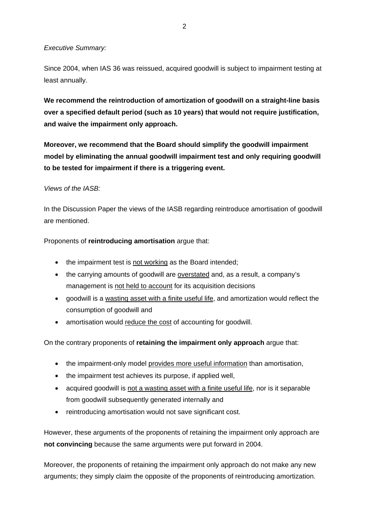## *Executive Summary:*

Since 2004, when IAS 36 was reissued, acquired goodwill is subject to impairment testing at least annually.

**We recommend the reintroduction of amortization of goodwill on a straight-line basis over a specified default period (such as 10 years) that would not require justification, and waive the impairment only approach.** 

**Moreover, we recommend that the Board should simplify the goodwill impairment model by eliminating the annual goodwill impairment test and only requiring goodwill to be tested for impairment if there is a triggering event.** 

#### *Views of the IASB:*

In the Discussion Paper the views of the IASB regarding reintroduce amortisation of goodwill are mentioned.

Proponents of **reintroducing amortisation** argue that:

- the impairment test is not working as the Board intended;
- the carrying amounts of goodwill are overstated and, as a result, a company's management is not held to account for its acquisition decisions
- goodwill is a wasting asset with a finite useful life, and amortization would reflect the consumption of goodwill and
- amortisation would reduce the cost of accounting for goodwill.

On the contrary proponents of **retaining the impairment only approach** argue that:

- the impairment-only model provides more useful information than amortisation,
- the impairment test achieves its purpose, if applied well,
- acquired goodwill is not a wasting asset with a finite useful life, nor is it separable from goodwill subsequently generated internally and
- reintroducing amortisation would not save significant cost.

However, these arguments of the proponents of retaining the impairment only approach are **not convincing** because the same arguments were put forward in 2004.

Moreover, the proponents of retaining the impairment only approach do not make any new arguments; they simply claim the opposite of the proponents of reintroducing amortization.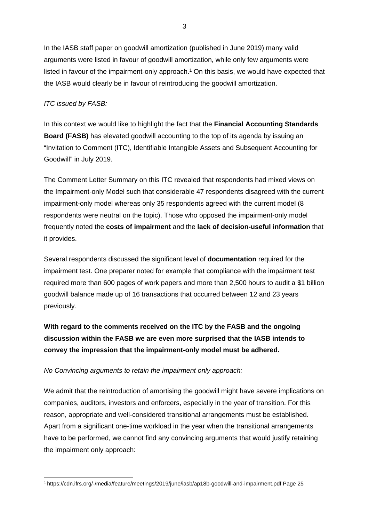In the IASB staff paper on goodwill amortization (published in June 2019) many valid arguments were listed in favour of goodwill amortization, while only few arguments were listed in favour of the impairment-only approach.1 On this basis, we would have expected that the IASB would clearly be in favour of reintroducing the goodwill amortization.

# *ITC issued by FASB:*

In this context we would like to highlight the fact that the **Financial Accounting Standards Board (FASB)** has elevated goodwill accounting to the top of its agenda by issuing an "Invitation to Comment (ITC), Identifiable Intangible Assets and Subsequent Accounting for Goodwill" in July 2019.

The Comment Letter Summary on this ITC revealed that respondents had mixed views on the Impairment-only Model such that considerable 47 respondents disagreed with the current impairment-only model whereas only 35 respondents agreed with the current model (8 respondents were neutral on the topic). Those who opposed the impairment-only model frequently noted the **costs of impairment** and the **lack of decision-useful information** that it provides.

Several respondents discussed the significant level of **documentation** required for the impairment test. One preparer noted for example that compliance with the impairment test required more than 600 pages of work papers and more than 2,500 hours to audit a \$1 billion goodwill balance made up of 16 transactions that occurred between 12 and 23 years previously.

**With regard to the comments received on the ITC by the FASB and the ongoing discussion within the FASB we are even more surprised that the IASB intends to convey the impression that the impairment-only model must be adhered.** 

## *No Convincing arguments to retain the impairment only approach:*

We admit that the reintroduction of amortising the goodwill might have severe implications on companies, auditors, investors and enforcers, especially in the year of transition. For this reason, appropriate and well-considered transitional arrangements must be established. Apart from a significant one-time workload in the year when the transitional arrangements have to be performed, we cannot find any convincing arguments that would justify retaining the impairment only approach:

<sup>1</sup> [https://cdn.ifrs.org/-/media/feature/meetings/2019/june/iasb/ap18b-goodwill-and-impairment.pdf Pa](https://cdn.ifrs.org/-/media/feature/meetings/2019/june/iasb/ap18b-goodwill-and-impairment.pdf)ge 25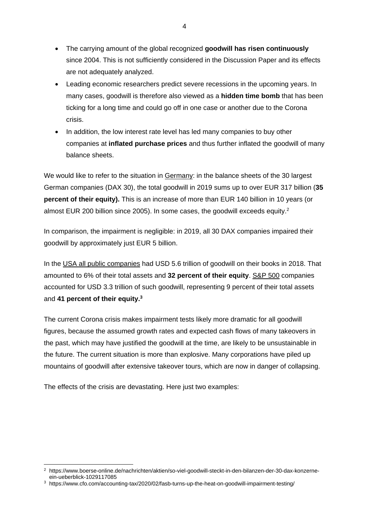- The carrying amount of the global recognized **goodwill has risen continuously** since 2004. This is not sufficiently considered in the Discussion Paper and its effects are not adequately analyzed.
- Leading economic researchers predict severe recessions in the upcoming years. In many cases, goodwill is therefore also viewed as a **hidden time bomb** that has been ticking for a long time and could go off in one case or another due to the Corona crisis.
- In addition, the low interest rate level has led many companies to buy other companies at **inflated purchase prices** and thus further inflated the goodwill of many balance sheets.

We would like to refer to the situation in Germany: in the balance sheets of the 30 largest German companies (DAX 30), the total goodwill in 2019 sums up to over EUR 317 billion (**35 percent of their equity).** This is an increase of more than EUR 140 billion in 10 years (or almost EUR 200 billion since 2005). In some cases, the goodwill exceeds equity.2

In comparison, the impairment is negligible: in 2019, all 30 DAX companies impaired their goodwill by approximately just EUR 5 billion.

In the USA all public companies had USD 5.6 trillion of goodwill on their books in 2018. That amounted to 6% of their total assets and **32 percent of their equity**. S&P 500 companies accounted for USD 3.3 trillion of such goodwill, representing 9 percent of their total assets and **41 percent of their equity.3**

The current Corona crisis makes impairment tests likely more dramatic for all goodwill figures, because the assumed growth rates and expected cash flows of many takeovers in the past, which may have justified the goodwill at the time, are likely to be unsustainable in the future. The current situation is more than explosive. Many corporations have piled up mountains of goodwill after extensive takeover tours, which are now in danger of collapsing.

The effects of the crisis are devastating. Here just two examples:

4

<sup>2</sup> [https://www.boerse-online.de/nachrichten/aktien/so-viel-goodwill-steckt-in-den-bilanzen-der-30-dax-konzerne](https://www.boerse-online.de/nachrichten/aktien/so-viel-goodwill-steckt-in-den-bilanzen-der-30-dax-konzerne-ein-ueberblick-1029117085)ein[-ueberblick-1029117085](https://www.boerse-online.de/nachrichten/aktien/so-viel-goodwill-steckt-in-den-bilanzen-der-30-dax-konzerne-ein-ueberblick-1029117085)

<sup>3</sup> <https://www.cfo.com/accounting-tax/2020/02/fasb-turns-up-the-heat-on-goodwill-impairment-testing/>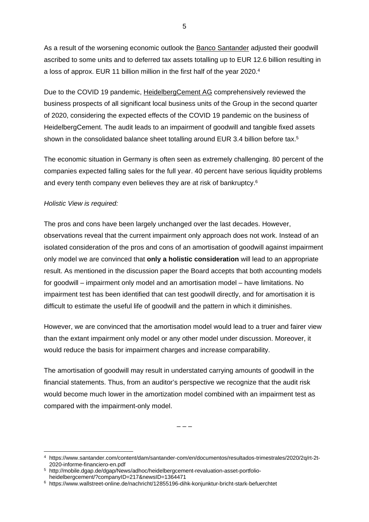As a result of the worsening economic outlook the Banco Santander adjusted their goodwill ascribed to some units and to deferred tax assets totalling up to EUR 12.6 billion resulting in a loss of approx. EUR 11 billion million in the first half of the year 2020.4

Due to the COVID 19 pandemic, HeidelbergCement AG comprehensively reviewed the business prospects of all significant local business units of the Group in the second quarter of 2020, considering the expected effects of the COVID 19 pandemic on the business of HeidelbergCement. The audit leads to an impairment of goodwill and tangible fixed assets shown in the consolidated balance sheet totalling around EUR 3.4 billion before tax.<sup>5</sup>

The economic situation in Germany is often seen as extremely challenging. 80 percent of the companies expected falling sales for the full year. 40 percent have serious liquidity problems and every tenth company even believes they are at risk of bankruptcy.6

## *Holistic View is required:*

The pros and cons have been largely unchanged over the last decades. However, observations reveal that the current impairment only approach does not work. Instead of an isolated consideration of the pros and cons of an amortisation of goodwill against impairment only model we are convinced that **only a holistic consideration** will lead to an appropriate result. As mentioned in the discussion paper the Board accepts that both accounting models for goodwill – impairment only model and an amortisation model – have limitations. No impairment test has been identified that can test goodwill directly, and for amortisation it is difficult to estimate the useful life of goodwill and the pattern in which it diminishes.

However, we are convinced that the amortisation model would lead to a truer and fairer view than the extant impairment only model or any other model under discussion. Moreover, it would reduce the basis for impairment charges and increase comparability.

The amortisation of goodwill may result in understated carrying amounts of goodwill in the financial statements. Thus, from an auditor's perspective we recognize that the audit risk would become much lower in the amortization model combined with an impairment test as compared with the impairment-only model.

– – –

5

<sup>4</sup> [https://www.santander.com/content/dam/santander-com/en/documentos/resultados-trimestrales/2020/2q/rt-2t-](https://www.santander.com/content/dam/santander-com/en/documentos/resultados-trimestrales/2020/2q/rt-2t-2020-informe-financiero-en.pdf)[2020-informe-financiero-en.pdf](https://www.santander.com/content/dam/santander-com/en/documentos/resultados-trimestrales/2020/2q/rt-2t-2020-informe-financiero-en.pdf)

<sup>5</sup> [http://mobile.dgap.de/dgap/News/adhoc/heidelbergcement-revaluation-asset-portfolio](http://mobile.dgap.de/dgap/News/adhoc/heidelbergcement-revaluation-asset-portfolio-heidelbergcement/?companyID=217&newsID=1364471)heidelbergcement/[?companyID=217&newsID=1364471](http://mobile.dgap.de/dgap/News/adhoc/heidelbergcement-revaluation-asset-portfolio-heidelbergcement/?companyID=217&newsID=1364471)

<sup>6</sup> <https://www.wallstreet-online.de/nachricht/12855196-dihk-konjunktur-bricht-stark-befuerchtet>